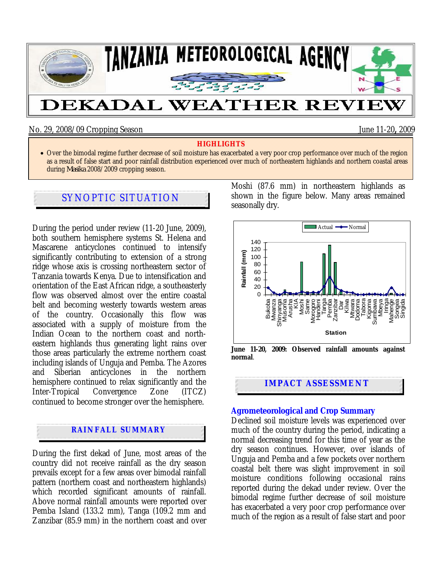

No. 29, 2008/09 Cropping Season June 11-20**,** 2009

#### **HIGHLIGHTS**

• Over the bimodal regime further decrease of soil moisture has exacerbated a very poor crop performance over much of the region as a result of false start and poor rainfall distribution experienced over much of northeastern highlands and northern coastal areas during *Masika* 2008/2009 cropping season.

# SYNOPTIC SITUATION

During the period under review (11-20 June, 2009), both southern hemisphere systems St. Helena and Mascarene anticyclones continued to intensify significantly contributing to extension of a strong ridge whose axis is crossing northeastern sector of Tanzania towards Kenya. Due to intensification and orientation of the East African ridge, a southeasterly flow was observed almost over the entire coastal belt and becoming westerly towards western areas of the country. Occasionally this flow was associated with a supply of moisture from the Indian Ocean to the northern coast and northeastern highlands thus generating light rains over those areas particularly the extreme northern coast including islands of Unguja and Pemba. The Azores and Siberian anticyclones in the northern hemisphere continued to relax significantly and the Inter-Tropical Convergence Zone (ITCZ) continued to become stronger over the hemisphere.

### **RAINFALL SUMMARY**

During the first dekad of June, most areas of the country did not receive rainfall as the dry season prevails except for a few areas over bimodal rainfall pattern (northern coast and northeastern highlands) which recorded significant amounts of rainfall. Above normal rainfall amounts were reported over Pemba Island (133.2 mm), Tanga (109.2 mm and Zanzibar (85.9 mm) in the northern coast and over

Moshi (87.6 mm) in northeastern highlands as shown in the figure below. Many areas remained seasonally dry.



**normal**.

**IMPACT ASSESSMENT** 

### **Agrometeorological and Crop Summary**

Declined soil moisture levels was experienced over much of the country during the period, indicating a normal decreasing trend for this time of year as the dry season continues. However, over islands of Unguja and Pemba and a few pockets over northern coastal belt there was slight improvement in soil moisture conditions following occasional rains reported during the dekad under review. Over the bimodal regime further decrease of soil moisture has exacerbated a very poor crop performance over much of the region as a result of false start and poor